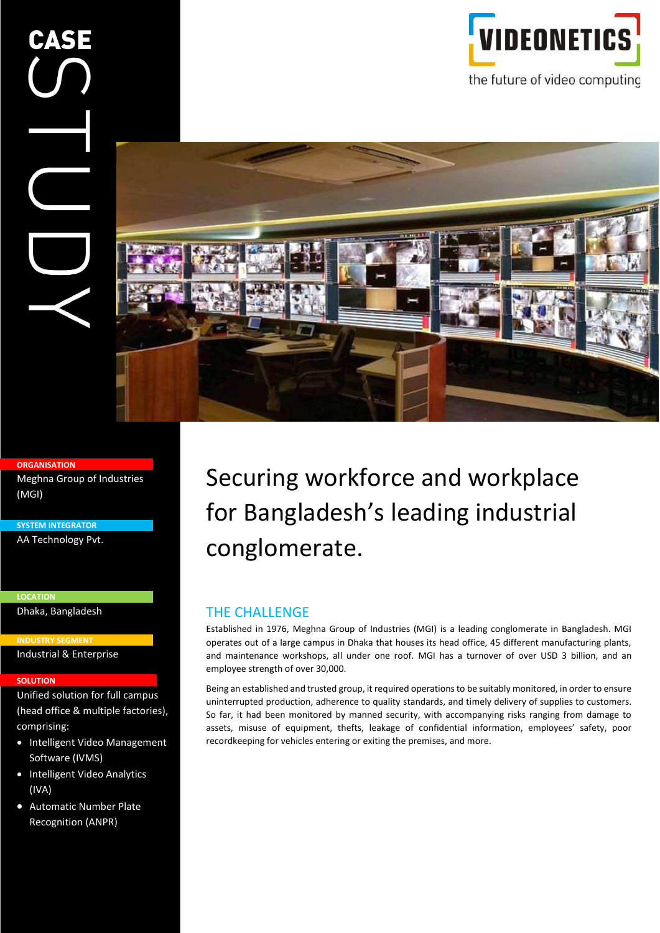



#### **ORGANISATION**

Meghna Group of Industries (MGI)

**SYSTEM INTEGRATOR** AA Technology Pvt.

**LOCATION** Dhaka, Bangladesh

**INDUSTRY SEGMENT** Industrial & Enterprise

#### **SOLUTION SOLUTION**

Unified solution for full campus (head office & multiple factories), comprising:

- Intelligent Video Management Software (IVMS)
- Intelligent Video Analytics (IVA)
- Automatic Number Plate Recognition (ANPR)

Securing workforce and workplace for Bangladesh's leading industrial conglomerate.

#### THE CHALLENGE

Established in 1976, Meghna Group of Industries (MGI) is a leading conglomerate in Bangladesh. MGI operates out of a large campus in Dhaka that houses its head office, 45 different manufacturing plants, and maintenance workshops, all under one roof. MGI has a turnover of over USD 3 billion, and an employee strength of over 30,000.

Being an established and trusted group, it required operations to be suitably monitored, in order to ensure uninterrupted production, adherence to quality standards, and timely delivery of supplies to customers. So far, it had been monitored by manned security, with accompanying risks ranging from damage to assets, misuse of equipment, thefts, leakage of confidential information, employees' safety, poor recordkeeping for vehicles entering or exiting the premises, and more.